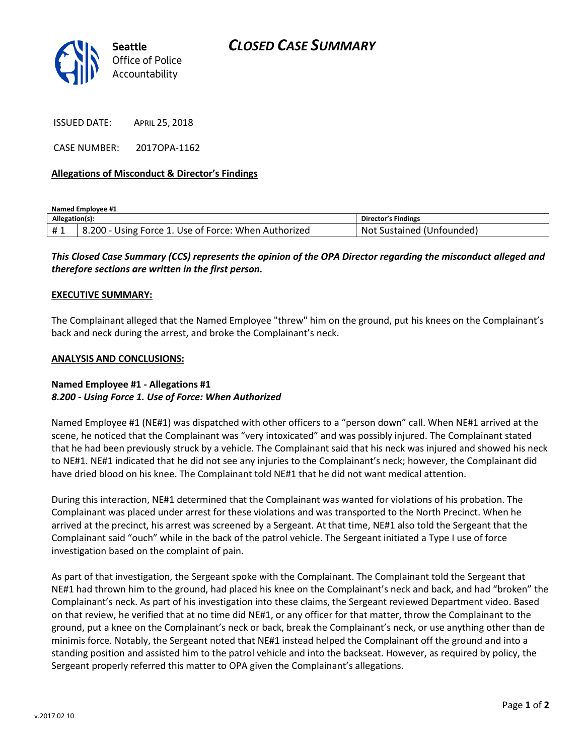

ISSUED DATE: APRIL 25, 2018

CASE NUMBER: 2017OPA-1162

## **Allegations of Misconduct & Director's Findings**

**Named Employee #1**

| Allegation(s): |                                                      | <b>Director's Findings</b>    |
|----------------|------------------------------------------------------|-------------------------------|
| #1             | 8.200 - Using Force 1. Use of Force: When Authorized | Sustained (Unfounded)<br>-Not |

# *This Closed Case Summary (CCS) represents the opinion of the OPA Director regarding the misconduct alleged and therefore sections are written in the first person.*

#### **EXECUTIVE SUMMARY:**

The Complainant alleged that the Named Employee "threw" him on the ground, put his knees on the Complainant's back and neck during the arrest, and broke the Complainant's neck.

### **ANALYSIS AND CONCLUSIONS:**

## **Named Employee #1 - Allegations #1** *8.200 - Using Force 1. Use of Force: When Authorized*

Named Employee #1 (NE#1) was dispatched with other officers to a "person down" call. When NE#1 arrived at the scene, he noticed that the Complainant was "very intoxicated" and was possibly injured. The Complainant stated that he had been previously struck by a vehicle. The Complainant said that his neck was injured and showed his neck to NE#1. NE#1 indicated that he did not see any injuries to the Complainant's neck; however, the Complainant did have dried blood on his knee. The Complainant told NE#1 that he did not want medical attention.

During this interaction, NE#1 determined that the Complainant was wanted for violations of his probation. The Complainant was placed under arrest for these violations and was transported to the North Precinct. When he arrived at the precinct, his arrest was screened by a Sergeant. At that time, NE#1 also told the Sergeant that the Complainant said "ouch" while in the back of the patrol vehicle. The Sergeant initiated a Type I use of force investigation based on the complaint of pain.

As part of that investigation, the Sergeant spoke with the Complainant. The Complainant told the Sergeant that NE#1 had thrown him to the ground, had placed his knee on the Complainant's neck and back, and had "broken" the Complainant's neck. As part of his investigation into these claims, the Sergeant reviewed Department video. Based on that review, he verified that at no time did NE#1, or any officer for that matter, throw the Complainant to the ground, put a knee on the Complainant's neck or back, break the Complainant's neck, or use anything other than de minimis force. Notably, the Sergeant noted that NE#1 instead helped the Complainant off the ground and into a standing position and assisted him to the patrol vehicle and into the backseat. However, as required by policy, the Sergeant properly referred this matter to OPA given the Complainant's allegations.